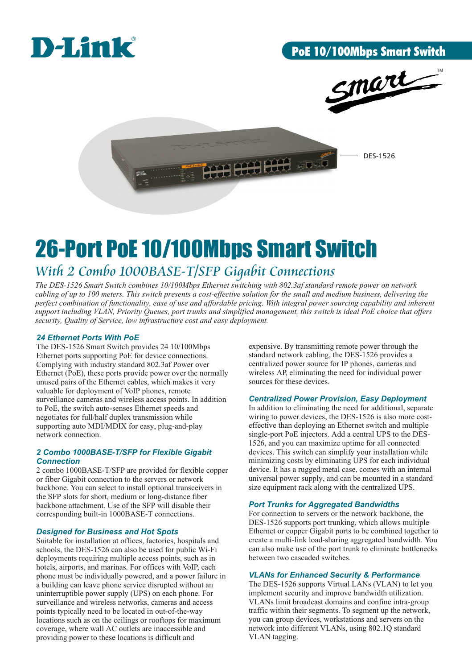

# PoE 10/100Mbps Smart Switch



DES-1526

# 26-Port PoE 10/100Mbps Smart Switch

# *With 2 Combo 1000BASE-T/SFP Gigabit Connections*

*The DES-1526 Smart Switch combines 10/100Mbps Ethernet switching with 802.3af standard remote power on network cabling of up to 100 meters. This switch presents a cost-effective solution for the small and medium business, delivering the perfect combination of functionality, ease of use and affordable pricing. With integral power sourcing capability and inherent support including VLAN, Priority Queues, port trunks and simplified management, this switch is ideal PoE choice that offers security, Quality of Service, low infrastructure cost and easy deployment.*

# *24 Ethernet Ports With PoE*

The DES-1526 Smart Switch provides 24 10/100Mbps Ethernet ports supporting PoE for device connections. Complying with industry standard 802.3af Power over Ethernet (PoE), these ports provide power over the normally unused pairs of the Ethernet cables, which makes it very valuable for deployment of VoIP phones, remote surveillance cameras and wireless access points. In addition to PoE, the switch auto-senses Ethernet speeds and negotiates for full/half duplex transmission while supporting auto MDI/MDIX for easy, plug-and-play network connection.

# *2 Combo 1000BASE-T/SFP for Flexible Gigabit Connection*

2 combo 1000BASE-T/SFP are provided for flexible copper or fiber Gigabit connection to the servers or network backbone. You can select to install optional transceivers in the SFP slots for short, medium or long-distance fiber backbone attachment. Use of the SFP will disable their corresponding built-in 1000BASE-T connections.

# *Designed for Business and Hot Spots*

Suitable for installation at offices, factories, hospitals and schools, the DES-1526 can also be used for public Wi-Fi deployments requiring multiple access points, such as in hotels, airports, and marinas. For offices with VoIP, each phone must be individually powered, and a power failure in a building can leave phone service disrupted without an uninterruptible power supply (UPS) on each phone. For surveillance and wireless networks, cameras and access points typically need to be located in out-of-the-way locations such as on the ceilings or rooftops for maximum coverage, where wall AC outlets are inaccessible and providing power to these locations is difficult and

expensive. By transmitting remote power through the standard network cabling, the DES-1526 provides a centralized power source for IP phones, cameras and wireless AP, eliminating the need for individual power sources for these devices.

أتعالى

# *Centralized Power Provision, Easy Deployment*

In addition to eliminating the need for additional, separate wiring to power devices, the DES-1526 is also more costeffective than deploying an Ethernet switch and multiple single-port PoE injectors. Add a central UPS to the DES-1526, and you can maximize uptime for all connected devices. This switch can simplify your installation while minimizing costs by eliminating UPS for each individual device. It has a rugged metal case, comes with an internal universal power supply, and can be mounted in a standard size equipment rack along with the centralized UPS.

# *Port Trunks for Aggregated Bandwidths*

For connection to servers or the network backbone, the DES-1526 supports port trunking, which allows multiple Ethernet or copper Gigabit ports to be combined together to create a multi-link load-sharing aggregated bandwidth. You can also make use of the port trunk to eliminate bottlenecks between two cascaded switches.

# *VLANs for Enhanced Security & Performance*

The DES-1526 supports Virtual LANs (VLAN) to let you implement security and improve bandwidth utilization. VLANs limit broadcast domains and confine intra-group traffic within their segments. To segment up the network, you can group devices, workstations and servers on the network into different VLANs, using 802.1Q standard VLAN tagging.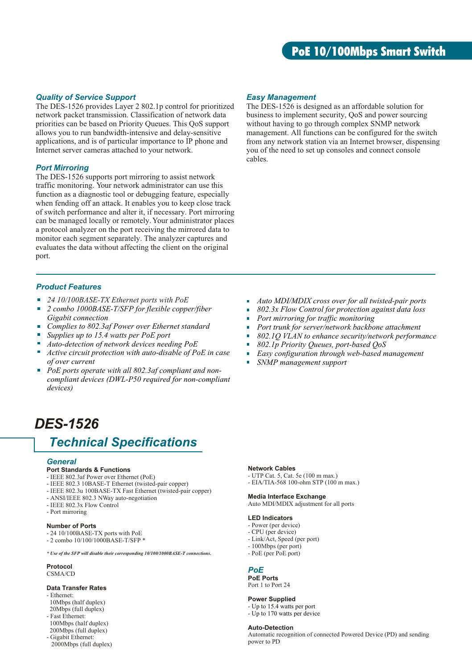# *Quality of Service Support*

The DES-1526 provides Layer 2 802.1p control for prioritized network packet transmission. Classification of network data priorities can be based on Priority Queues. This QoS support allows you to run bandwidth-intensive and delay-sensitive applications, and is of particular importance to IP phone and Internet server cameras attached to your network.

### *Port Mirroring*

The DES-1526 supports port mirroring to assist network traffic monitoring. Your network administrator can use this function as a diagnostic tool or debugging feature, especially when fending off an attack. It enables you to keep close track of switch performance and alter it, if necessary. Port mirroring can be managed locally or remotely. Your administrator places a protocol analyzer on the port receiving the mirrored data to monitor each segment separately. The analyzer captures and evaluates the data without affecting the client on the original port.

# *Product Features*

- *24 10/100BASE-TX Ethernet ports with PoE*
- $\mathbf{r}$ *2 combo 1000BASE-T/SFP for flexible copper/fiber Gigabit connection*
- *Complies to 802.3af Power over Ethernet standard*
- *Supplies up to 15.4 watts per PoE port*
- *Auto-detection of network devices needing PoE*
- $\mathbf{r}$ *Active circuit protection with auto-disable of PoE in case of over current*
- *PoE ports operate with all 802.3af compliant and noncompliant devices (DWL-P50 required for non-compliant devices)*

# *DES-1526*

# *Technical Specifications*

#### *General*

- **Port Standards & Functions**
- IEEE 802.3af Power over Ethernet (PoE)
- IEEE 802.3 10BASE-T Ethernet (twisted-pair copper)
- IEEE 802.3u 100BASE-TX Fast Ethernet (twisted-pair copper)
- ANSI/IEEE 802.3 NWay auto-negotiation
- IEEE 802.3x Flow Control
- Port mirroring

### **Number of Ports**

- 24 10/100BASE-TX ports with PoE
- 2 combo 10/100/1000BASE-T/SFP \*

*\* Use of the SFP will disable their corresponding 10/100/1000BASE-T connections*.

# **Protocol**

CSMA/CD

# **Data Transfer Rates**

- Ethernet: 10Mbps (half duplex) 20Mbps (full duplex)
- Fast Ethernet:
- 100Mbps (half duplex) 200Mbps (full duplex)
- Gigabit Ethernet: 2000Mbps (full duplex)

### *Easy Management*

The DES-1526 is designed as an affordable solution for business to implement security, QoS and power sourcing without having to go through complex SNMP network management. All functions can be configured for the switch from any network station via an Internet browser, dispensing you of the need to set up consoles and connect console cables.

- *Auto MDI/MDIX cross over for all twisted-pair ports*
- *802.3x Flow Control for protection against data loss*
- *Port mirroring for traffic monitoring*
- *Port trunk for server/network backbone attachment*
- $\mathbf{r}$ *802.1Q VLAN to enhance security/network performance*
- H. *802.1p Priority Queues, port-based QoS*
- *Easy configuration through web-based management*  $\blacksquare$
- *SNMP management support*

### **Network Cables**

- UTP Cat. 5, Cat. 5e (100 m max.)
- EIA/TIA-568 100-ohm STP (100 m max.)

#### **Media Interface Exchange**

Auto MDI/MDIX adjustment for all ports

#### **LED Indicators**

- Power (per device)
- CPU (per device)
- Link/Act, Speed (per port)
- 100Mbps (per port)
- PoE (per PoE port)

### *PoE*

**PoE Ports** Port 1 to Port 24

#### **Power Supplied**

- Up to 15.4 watts per port - Up to 170 watts per device

#### **Auto-Detection**

Automatic recognition of connected Powered Device (PD) and sending power to PD